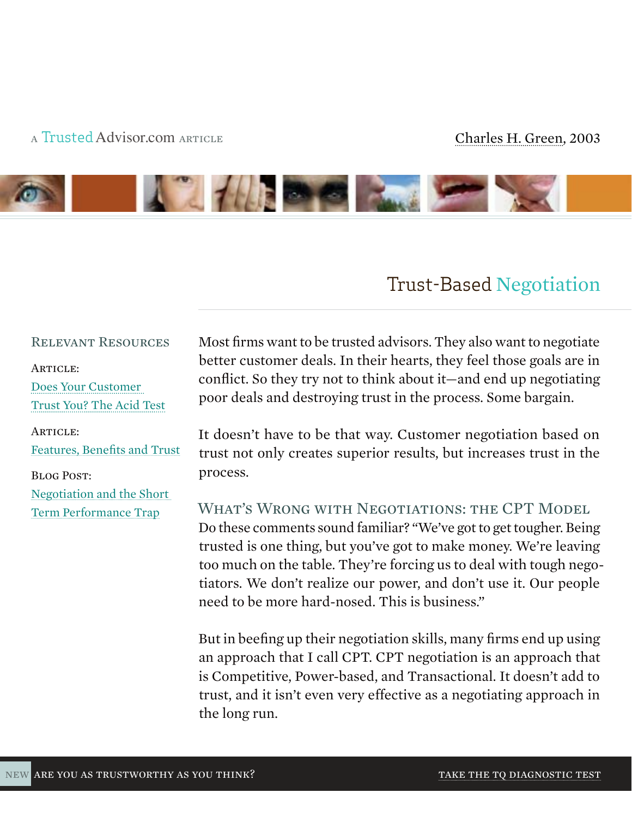### a Trusted[Advisor.com](http://trustedadvisor.com/subscribe/205f6d4fe7899e84cee86a931b8e9ad1) article [Charles H. Green, 200](http://trustedadvisor.com/subscribe/44b726f7af4ec54d6e7d26ab516db990)3



# Trust-Based [Negotiation](http://trustedadvisor.com/subscribe/e09aa674019f9511c56c6621abcd10c9)

#### Relevant Resources

ARTICLE: [Does Your Customer](http://trustedadvisor.com/cgreen.articles/44/Does-Your-Customer-Trust-You-The-Acid-Test) 

[Trust You? The Acid Test](http://trustedadvisor.com/cgreen.articles/44/Does-Your-Customer-Trust-You-The-Acid-Test)

#### ARTICLE:

[Features, Benefits and Trust](http://trustedadvisor.com/subscribe/8f9012e2b9ab215c934666c3ac144c64)

#### Blog Post:

[Negotiation and the Short](http://trustedadvisor.com/subscribe/7a69ee90412b0e714ca14fb1b5da2605)  [Term Performance Trap](http://trustedadvisor.com/subscribe/7a69ee90412b0e714ca14fb1b5da2605)

Most firms want to be trusted advisors. They also want to negotiate better customer deals. In their hearts, they feel those goals are in conflict. So they try not to think about it—and end up negotiating poor deals and destroying trust in the process. Some bargain.

It doesn't have to be that way. Customer negotiation based on trust not only creates superior results, but increases trust in the process.

WHAT'S WRONG WITH NEGOTIATIONS: THE CPT MODEL Do these comments sound familiar? "We've got to get tougher. Being trusted is one thing, but you've got to make money. We're leaving too much on the table. They're forcing us to deal with tough negotiators. We don't realize our power, and don't use it. Our people need to be more hard-nosed. This is business."

But in beefing up their negotiation skills, many firms end up using an approach that I call CPT. CPT negotiation is an approach that is Competitive, Power-based, and Transactional. It doesn't add to trust, and it isn't even very effective as a negotiating approach in the long run.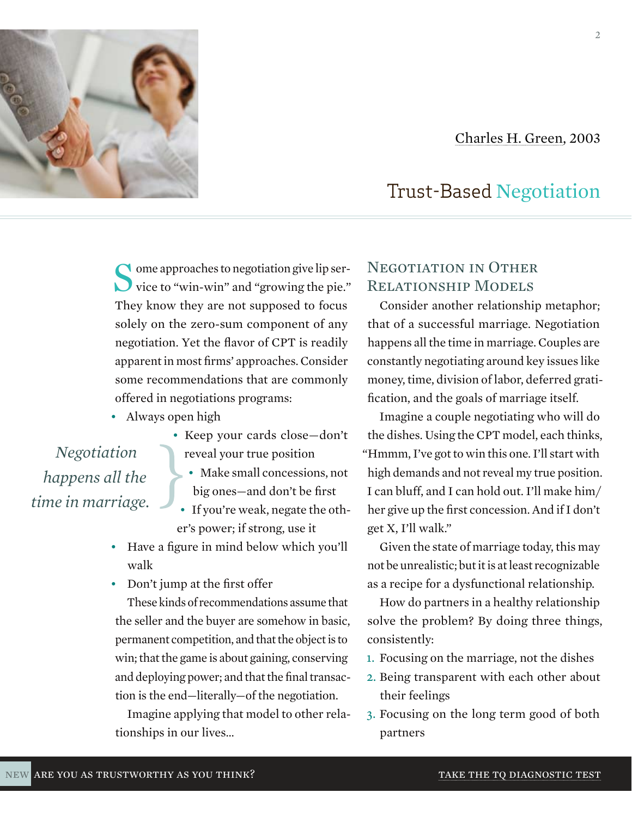



Some approaches to negotiation give lip service to "win-win" and "growing the pie." They know they are not supposed to focus solely on the zero-sum component of any negotiation. Yet the flavor of CPT is readily apparent in most firms' approaches. Consider some recommendations that are commonly offered in negotiations programs:

• Always open high

*Negotiation happens all the time in marriage.*

- Keep your cards close—don't reveal your true position
	- Make small concessions, not big ones—and don't be first
- If you're weak, negate the other's power; if strong, use it
- Have a figure in mind below which you'll walk
- Don't jump at the first offer

These kinds of recommendations assume that the seller and the buyer are somehow in basic, permanent competition, and that the object is to win; that the game is about gaining, conserving and deploying power; and that the final transaction is the end—literally—of the negotiation.

Imagine applying that model to other relationships in our lives…

## Negotiation in Other Relationship Models

Consider another relationship metaphor; that of a successful marriage. Negotiation happens all the time in marriage. Couples are constantly negotiating around key issues like money, time, division of labor, deferred gratification, and the goals of marriage itself.

Imagine a couple negotiating who will do the dishes. Using the CPT model, each thinks, "Hmmm, I've got to win this one. I'll start with high demands and not reveal my true position. I can bluff, and I can hold out. I'll make him/ her give up the first concession. And if I don't get X, I'll walk."

Given the state of marriage today, this may not be unrealistic; but it is at least recognizable as a recipe for a dysfunctional relationship.

How do partners in a healthy relationship solve the problem? By doing three things, consistently:

- 1. Focusing on the marriage, not the dishes
- 2. Being transparent with each other about their feelings
- 3. Focusing on the long term good of both partners

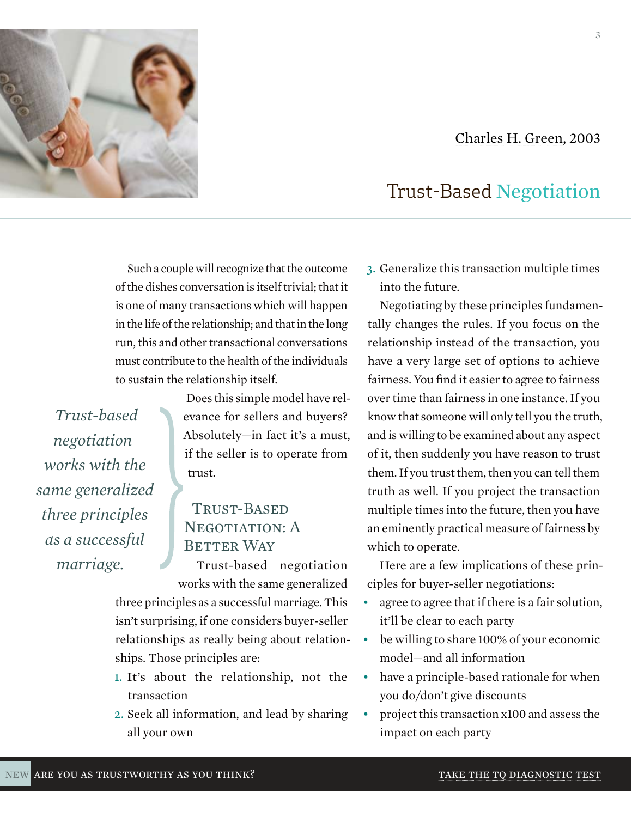#### [Charles H. Green, 200](http://trustedadvisor.com/subscribe/44b726f7af4ec54d6e7d26ab516db990)3



## Such a couple will recognize that the outcome of the dishes conversation is itself trivial; that it is one of many transactions which will happen in the life of the relationship; and that in the long run, this and other transactional conversations must contribute to the health of the individuals to sustain the relationship itself.

*Trust-based negotiation works with the same generalized three principles as a successful marriage.*

Does this simple model have relevance for sellers and buyers? Absolutely—in fact it's a must, if the seller is to operate from trust.

## Trust-Based NEGOTIATION: A **BETTER WAY**

Trust-based negotiation works with the same generalized

three principles as a successful marriage. This isn't surprising, if one considers buyer-seller relationships as really being about relationships. Those principles are:

- 1. It's about the relationship, not the transaction
- 2. Seek all information, and lead by sharing all your own

3. Generalize this transaction multiple times into the future.

Negotiating by these principles fundamentally changes the rules. If you focus on the relationship instead of the transaction, you have a very large set of options to achieve fairness. You find it easier to agree to fairness over time than fairness in one instance. If you know that someone will only tell you the truth, and is willing to be examined about any aspect of it, then suddenly you have reason to trust them. If you trust them, then you can tell them truth as well. If you project the transaction multiple times into the future, then you have an eminently practical measure of fairness by which to operate.

Here are a few implications of these principles for buyer-seller negotiations:

- agree to agree that if there is a fair solution, it'll be clear to each party
- be willing to share 100% of your economic model—and all information
- have a principle-based rationale for when you do/don't give discounts
- project this transaction x100 and assess the impact on each party

3

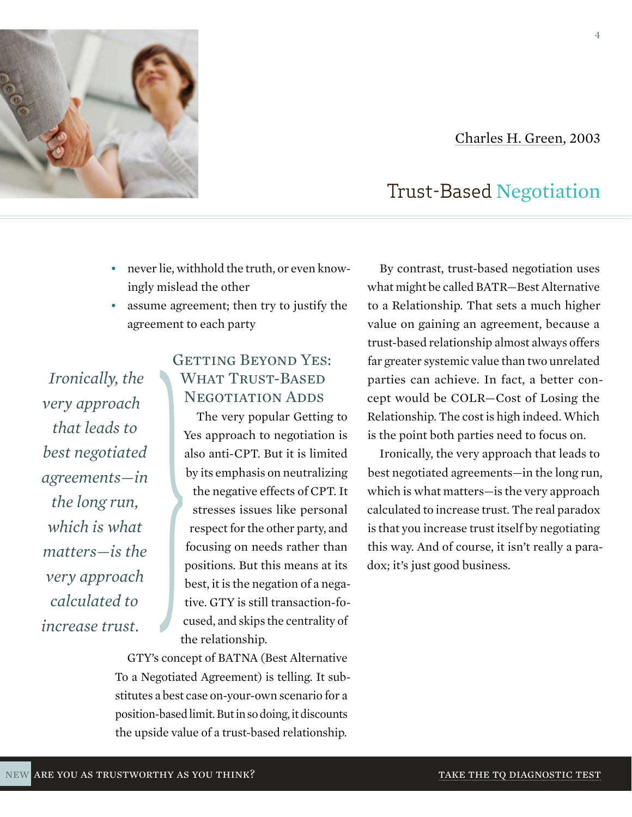#### new ARE YOU AS TRUSTWORTHY AS YOU THINK? TAKE TAKE THE TQ DIAGNOSTIC TEST

## [Charles H. Green, 200](http://trustedadvisor.com/subscribe/44b726f7af4ec54d6e7d26ab516db990)3

# Trust-Based [Negotiation](http://trustedadvisor.com/subscribe/e09aa674019f9511c56c6621abcd10c9)

By contrast, trust-based negotiation uses what might be called BATR—Best Alternative to a Relationship. That sets a much higher value on gaining an agreement, because a trust-based relationship almost always offers far greater systemic value than two unrelated parties can achieve. In fact, a better concept would be COLR—Cost of Losing the Relationship. The cost is high indeed. Which is the point both parties need to focus on.

Ironically, the very approach that leads to best negotiated agreements—in the long run, which is what matters—is the very approach calculated to increase trust. The real paradox is that you increase trust itself by negotiating this way. And of course, it isn't really a paradox; it's just good business.

*very approach that leads to best negotiated agreements—in the long run, which is what matters—is the very approach* 

*calculated to* 

*increase trust.*

*Ironically, the* 

# GETTING BEYOND YES: WHAT TRUST-BASED NEGOTIATION ADDS

• never lie, withhold the truth, or even know-

• assume agreement; then try to justify the

ingly mislead the other

agreement to each party

The very popular Getting to Yes approach to negotiation is also anti-CPT. But it is limited by its emphasis on neutralizing the negative effects of CPT. It stresses issues like personal respect for the other party, and focusing on needs rather than positions. But this means at its best, it is the negation of a negative. GTY is still transaction-focused, and skips the centrality of the relationship.

GTY's concept of BATNA (Best Alternative To a Negotiated Agreement) is telling. It substitutes a best case on-your-own scenario for a position-based limit. But in so doing, it discounts the upside value of a trust-based relationship.





4